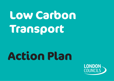# **Low Carbon Transport**

## **Action Plan**

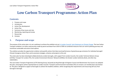

## **Low Carbon Transport Programme: Action Plan**

### **Contents**

- 1. Purpose and scope
- 2. Introduction
- 3. Action Plan development
- 4. Action Plan
- 5. Summary of key issues and risks
- 6. Monitoring, reporting and review
- 7. Resourcing
- 8. Annexes

## **1. Purpose and scope**

The purpose of this action plan is to set a pathway to achieve the ambition set out [in London Councils' Joint Statement on Climate Change.](https://www.londoncouncils.gov.uk/our-key-themes/environment/climate-change) The Low Carbon Transport ambition is to halve road journeys made by petrol and diesel from 2019 to 2030 via combined measures that can restrict polluting journeys and incentivise sustainable and active travel options.

The ambition provides the opportunity to deliver and quantify actions that help record performance of greenhouse gas emissions for individual boroughs' Climate Emergency Action Plans and to promote strategies, schemes and projects to this end.

The action plan has been developed collaboratively by London boroughs, with support from London Councils, the London Technical Advisers Group (LOTAG), Transport for London (TfL), the London Environment Directors' Network (LEDNet), the Greater London Authority (GLA), and other key stakeholders.

The Low Carbon Transport Programme (LCTP) Steering Group, led jointly by Royal Borough of Kingston Council and Westminster City Council, has adopted this plan, and progress will be reported back to London Councils' Transport and Environment Committee (TEC) on at least a six-monthly basis (see Section 6). This plan is designed to support all boroughs to achieve the headline ambition, whilst recognising that requirements and resourcing will vary from borough to borough.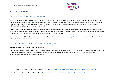

## **2. Introduction**

#### 2.1. London boroughs' action on climate change

Since 2019, 28 boroughs have declared a climate emergency, together with more than 230 local authority declarations nationwide. The Climate Change Committee has recognised that local authorities' 'leadership role in partnerships and with the public places them at the heart of the climate conversation and in developing and replicating local solutions', and that 'Around a third of the UK's emissions are dependent on sectors that are directly shaped or influenced by local authority practice, policy or partnerships.'<sup>1</sup>

Recognising the need for coordinated support to boroughs' climate change ambitions, TEC and LEDNet met in November 2019 to discuss climate change action and the development of shared priorities. There was a consensus on the urgency of climate change and the need to act promptly and collaboratively, and in December 2019 London Councils adopted the Joint Statement on Climate Change.

The Joint Statement on Climate Change that has been adopted by London Councils identifies seven key [climate programmes](https://www.londoncouncils.gov.uk/node/36794) that boroughs will jointly deliver, of which the third is Low Carbon Transport.

#### 2.2. National and Regional action on climate change adaptation

#### **Background to Transport Emissions and National Policy**

Transport is the largest contributor to UK domestic greenhouse gas emissions, accounting for 27% in 2019.<sup>2</sup> Emissions from transport have been broadly flat for the last 30 years, even as those of other sectors have declined. Cars and taxis are the biggest total contributors to carbon emissions. Figure 1 summarises current source of transport emissions below:

<sup>&</sup>lt;sup>1</sup> 2020, *Climate Change Committee, Local Authorities and the Sixth Carbon Budget, [Local Authorities and the Sixth Carbon Budget -](https://www.theccc.org.uk/publication/local-authorities-and-the-sixth-carbon-budget/) Climate Change Committee* [\(theccc.org.uk\)](https://www.theccc.org.uk/publication/local-authorities-and-the-sixth-carbon-budget/)

<sup>&</sup>lt;sup>2</sup> 2021, *Decarbonising Transport: A Better, Greener Britain* Decarbonising Transport – A Better, Greener [Britain \(publishing.service.gov.uk\)](https://assets.publishing.service.gov.uk/government/uploads/system/uploads/attachment_data/file/1009448/decarbonising-transport-a-better-greener-britain.pdf)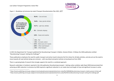

*Figure 1 - Breakdown of emissions by mode (Transport Decarbonisation Plan 2021, DfT)<sup>3</sup>*



In 2021 the Department for Transport published the Decarbonising Transport: A Better, Greener Britain. It follows the 2020 publication entitled "Decarbonising Transport: Setting the Challenge"<sup>4</sup>.

These publications emphasise the need for public transport and active travel to become the first choice for all daily activities, and also set out the need to move towards all road vehicles being zero emission – with new diesel and petrol vehicles to be phased out from 2030.

There is a growing body of research that strongly supports the need for a combined approach.

Research undertaken in Scotland, reported in the LGA publication Decarbonising transport - Getting carbon ambition right (Sept 2020) demonstrated that achieving an 80% reduction in emissions by 2030 required a significant reduction in car mode share and length of trips and significant increase in active

<sup>&</sup>lt;sup>3</sup> https://assets.publishing.service.gov.uk/government/uploads/system/uploads/attachment\_data/file/1009448/decarbonising-transport-a-better-greener-britain.pdf <sup>4</sup> https://assets.publishing.service.gov.uk/government/uploads/system/uploads/attachment\_data/file/932122/decarbonising-transport-setting-the-challenge.pdf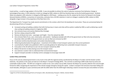

travel and bus - as well as huge uptake in EVs by 2030. It was not possible to achieve the scale of reduction necessary from behaviour change or technological fixes alone. A 20% reduction in total car mileage by 2030, relative to 2019 has therefore been set by the Scottish government. Similarly, Wales has adopted a 10% reduction in mileage by 2030 (against a 2019 base). Looking across the UK, analysis by the Centre for Research into Energy Demand Solutions (CREDS), a consortium of universities, estimates that a 30-50% reduction in total car mileage is needed by 2030, relative to 2020, alongside a huge increase in the proportion of the fleet that is EVs.

The Department for Transport has made several commitments in this context, which form the backdrop for local action. These are summarised below for decarbonising all forms of transport<sup>5</sup>

- Increased cycling and walking: ambition that half of all journeys in towns and cities will be cycled or walked by 2030, as well as delivering a world class cycling and walking network in England by 2040
- Zero emission buses and coaches (National Bus Strategy)
- Net Zero railway network by 2050
- Remove all diesel only trains passenger and freight from the network by 2040
- Zero emission fleet of cars, vans, motorcycles, and scooters leading by example with 25% of the government car fleet ultra-low emission by December 2022 and 100% of the government car and van fleet zero emission by 2027.
- Accelerate maritime decarbonisation and aviation decarbonisation
- Delivering decarbonisation through places investment of £12 billion in local transport systems over the current parliament
- Local Authority Toolkit to be published in 2021 to provide guidance for delivering more sustainable transport measures
- Every place in the UK will have its own net zero transport network by 2050
- Reduce the barriers to data sharing across the transport sector
- Use national e-scooter trials to understand their environmental impact
- Support transport providers to develop comms campaigns to encourage mode shift

#### **London Policy and Activity**

Focus on this area by national government is very much in line with the regional activity coordinated by the Mayor of London and the Greater London Authority. Key policies in this space are laid out in the Mayor's Transport Strategy (MTS). This commits to achieving an 80% mode share by active and sustainable modes by 2041. The MTS set a target for London to be a zero carbon city by 2050, however the Mayor has recently called for this to be brought forward to 2030, recognising the importance of the climate change emergency facing the capital. London's transport CO2 emissions have been falling over recent decades, although at a pace commensurate with the 2050 rather than the 2030 target indicating a need to increase the pace and ambition of action.

<sup>5</sup> page 9 to 13 Part 2a Decarbonising all forms of transport, 2021, *Decarbonising Transport: A Better, Greener Britain.*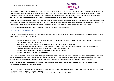

Key actions have included steps to decarbonise the bus fleet (current target for all buses to be electric or zero emission by 2034 which is under review) and introducing a significant extension to the ultra-low emission zone to the inner ring road. Whilst this is primarily seeking to target air pollution it is also estimated to have an impact on carbon emission as it drives changes in fleet purchasing and will hopefully accelerate uptake of low emission vehicles. Associated actions to increase EV charging facilities and increase provision of infrastructure for cycles are also included.

The London Plan also contains a significant range of actions relevant for decarbonisation of transport, notably around maintaining the strong links between land use planning and transport that act to focus denser and high trip generating land uses in areas of highest public transport accessibility. There are also important stipulations in terms of availability of parking at new development which can be an important determinant of modal choice.

Further work on decarbonisation pathways is being undertaken by TfL and GLA, for release in 2022.

#### 2.3 Understanding Co-benefits

In addition to decarbonisation, there are well documented huge individual and societal co-benefits from supporting a shift to low-carbon transport. Some of the more notable are summarised below:

- Improvements to air quality (3600 4100 deaths in London attributable to air pollution in 2019, and significant cost to NHS<sup>6</sup> and productivity<sup>7</sup> due to morbidity linked with air pollution)
- Reductions in noise pollution (social cost of urban road noise in England estimated at c£7bn/yr)
- Increased road safety (23k people nationally killed or seriously injured in 2020, social cost of road collisions estimated at c£9billion/yr)
- Decreased road congestion (annual social cost nationally c £7bn/yr, but estimates vary)
- Improving health through more physical activity (inactivity costs NHS c£7.4bn/yr)
- Improving connectivity, supporting jobs and growth

These benefits are particularly notable when shifting trips from traditional diesel- and petrol-powered private vehicles to public transport and active travel modes. Whilst electric vehicles still deliver significant benefits over fossil fuelled cars, they still cause a range of negative externalities including congestion, collisions and some residual air quality impacts (notably in terms of particulate matter from brake and tyre wear, resuspension of dust etc).

Including co-benefits in the discussion around decarbonisation can be important in building a coalition for action, developing holistic policy, and demonstrating the cost effectiveness of interventions.

<sup>&</sup>lt;sup>6</sup>https://assets.publishing.service.gov.uk/government/uploads/system/uploads/attachment\_data/file/708855/Estimation\_of\_costs\_to\_the\_NHS\_and\_social\_care\_due\_to the health impacts of air pollution - summary report.pdf

<sup>7</sup> https://www.cbi.org.uk/articles/what-is-the-economic-potential-released-by-achieving-clean-air-in-the-uk-1/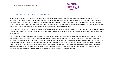

#### 2.4 The impact of 2020: Covid-19 and green recovery

During the preparation of this action plan, London boroughs and their partners have also been responding to the Covid-19 pandemic, which has had a severe impact on London. The coordinated response to Covid-19 has been managed through our statutory resilience functions, and has brought greater urgency to resilience planning, and the prospect of future, concurrent resilience to challenges, especially as climate change impacts become more severe. At the same time, issues raised in this plan have come to the fore. For example, Londoners have become ever more aware of the challenges associated with poor quality housing – including in relation to overheating – and the benefits of access to green space.

In developing plans for the city's recovery, we have worked closely with the GLA under the London Recovery Board, including the Green New Deal and High Streets missions, which will have a role in securing greater resilience and greening in our public realm and built environment as part of the economic and social recovery.

In the context of travel, the Department for Transport has highlighted the need to ensure we avoid a car-led recovery post-pandemic, and instead ensure that recovery is driven by public transport and active travel. There have been changes in commuting, shopping and business travel which have been accelerated by the pandemic and offer the opportunity for a reduction or stabilisation in traffic. New ways of working have seen flexibility around working from home become the norm for many organisations, signifying that the demand in peak times has decreased when compared with pre-covid demand. Indeed, the future of mobility needs to be reimagined as consumer preferences have been increasingly driven by safety concerns, digital channels and sustainability issues. Technology is also accelerating the pace of change with micro mobility options becoming ever prevalent in urban environments, against the backdrop of tightening regulations in the mobility sphere which restrict  $CO<sub>2</sub>$  emissions for vehicles.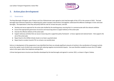

## **3. Action plan development**

#### 3.1. Governance

The Royal Borough of Kingston upon Thames and City of Westminster were agreed as joint lead boroughs of the LCTP in the summer of 2021. The lead boroughs have extensive experience in delivering low carbon transport interventions and together understand the different challenges in inner and outer boroughs. The expectation is that they will jointly fulfil this role for at least two years, and will:

- Develop and secure approval for the action plan drafted by the working group, ensuring that it is commensurate with the relevant ambition
- Ensure that appropriate governance structures and resourcing exists to support delivery of the action plan
- Oversee the effective delivery of the action plan
- Support advocacy activities that can secure resourcing and a supportive policy framework at local, regional and national levels that supports the aim of the action plan
- Report back to the LEDNet climate cluster on at least a quarterly basis
- Report back to London Councils TEC on at least a six-monthly basis

Early on in development of the programme it was identified that there are already significant amounts of activity in the coordination of transport activity across the capital, much of which was concerned with reducing negative environmental impacts. Care was therefore needed to ensure the LCTP added value to this space rather than duplicate existing effort.

A three-level governance structure was therefore developed by the lead boroughs and agreed in summer 2021, as shown in Figure 2 below.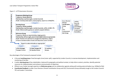





Key advantages of the framework proposed include:

- A focused **working group** of lead boroughs (inner/outer split), supported by London Councils, to oversee development, implementation and monitoring of the plan
- A wider **steering group** of key stakeholders, balanced for geography and political context, to help inform content, priorities, identify potential resources for implementation and enhance communication of objectives
- Efficient use of wider borough expertise via **Reference group** and via collaborative agenda setting with existing external bodies (e.g. LEDNet/LoTAG)
- **Coordinated feedback** to wider Cross Directors Climate Coordination Group and CELC Environment Group ultimately trough to the London Councils TEC and Leaders' Committee.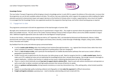

#### **Knowledge Partner**

The Low Carbon Transport Programme will be bringing on board a knowledge partner in early 2022 to support the delivery of the action plan, to ensure that the programme can use the best available evidence and data. This will be a two-way relationship, which supports the programme whilst enabling the higher education partner(s) to demonstrate impact and support decisions at the forefront of climate action in London, supporting their role as local civic leaders. It is envisaged that the Knowledge Partner once appointed would join the programme Steering Group, and further attend working group as required.

#### 3.2. Engagement to date

The programme commenced in full with the appointment of the lead boroughs in Summer 2021.

Boroughs were introduced to the programme by way of a questionnaire in August 2021. This sought to ascertain where the programme should prioritise effort and available resource. This was sent to The London Technical Advisers Group (LoTAG) transport officers and via the LEDNet newsletter in August 2021. Additional targeted approaches were also made to the Sub-Regional Transport groups.

To discuss this further, a reference group meeting was held on 16<sup>th</sup> September 2021, and attended by Richmond and Wandsworth, Merton, Enfield, Hammersmith and Fulham, Royal Borough of Kensington and Chelsea, Brent, Bromley, London Borough of Redbridge, Islington, Ealing, Sutton, Waltham Forest, Hounslow and Croydon.

Key feedback from the survey and reference group summarised below:

- A call for **London wide thinking** rather than looking at local solutions/borough boundaries e.g., regional Zero Emission Zones rather than micro areas/ consistent EV networks / collaborative approach to parking policy/ road user charging etc
- There is a **lack of clarity on data,** and in particular the development of credible decarbonisation pathways that work across London's different geographies (central/inner/outer)
- London Councils seen as good arena for this discussion, but other groups as well. Need to recognise that this is a **really crowded space**. Need to make sure LCTP is adding real value and not duplicating the knowledge/activity that is already there/ongoing. Not enough resource in boroughs to support duplication. Could be a key function in making sure key issues in delivering decarbonisation do not fall through gaps.
- There is a need to think holistically around **how best to support electric vehicles (EVs)** Need to work with vehicle manufacturers and operators as well as each other to deliver consistent and high-quality provision that removes all barriers to uptake
- Advice on **guidance and best practice**, driving towards consistency on some key interventions (e.g., LTNs, parking policy, school streets) would be helpful
- Support on providing high quality marketing collateral and infographics to help **make the argument** for difficult interventions
- **Freight and logistics emissions** a growing issue need to develop understanding and tools to deal with this.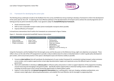

#### 3.3. Framework for developing the action plan

The Working Group undertook to build on the feedback from the survey and Reference Group meeting to develop a framework to inform the development of the action plan for the LCTP. In exploring the most effective pathway to the decarbonisation of transport and to achieve the overall programme aim of halving journeys by petrol and diesel by 2030, it was agreed to adopt the **Avoid/Shift/Improve framework.** 

- Avoid unnecessary travel
- Shift to more sustainable transport modes (active travel/public transport) where possible.
- Improve efficiency of transport

In broad terms interventions that fit within this framework are summarised in Figure 3 below.

*Figure 3 – Illustration of potential Avoid/Shift/ Improve Interventions*

| <b>Avoid unnecessary travel</b>                                              | <b>Shift</b> to more sustainable transport                                        | <b>Improve</b> efficiency of transport                                                                                                                                                 |
|------------------------------------------------------------------------------|-----------------------------------------------------------------------------------|----------------------------------------------------------------------------------------------------------------------------------------------------------------------------------------|
| Home working<br>Digital infrastructure<br>$\bullet$<br>Freight consolidation | Active Travel<br>$\bullet$<br>Public transport<br>٠<br>Micromobility<br>$\bullet$ | Parking policy<br>٠<br><b>Emission Zones</b><br>٠<br>Road user charging<br>٠<br>Electrification<br>٠<br>Sustainable Freight<br>٠<br>Efficient car use (car sharing,<br>٠<br>clubs etc) |

Using this framework, and the feedback from the borough survey and the discussion at the Reference Group, eight core objectives are proposed. These reflect a focus on the role of the LCTP programme to provide a robust evidence base for action on decarbonisation in order to guide policy development pan-London, and to ensure best practice in this space is developed at pace and shared as widely as possible.

car

- 1. Convene **a data taskforce** that will coordinate the development of a pan-London framework for consistently tracking transport carbon emissions across London, and to explore opportunities to best align decarbonisation targets and trajectories across the different layers of London government.
- 2. Work with stakeholders to develop an **advocacy plan** to influence policy and practice in order to support objectives of the programme including around resourcing and messaging to the general public. Specifically explore opportunities to diversify funding streams available for delivery, including via private sector actors and by harnessing opportunities to exploit patient capital.
- 3. Explore in more detail the role **demand management interventions** (e.g., parking policy, road user charging, workplace parking levies, zero emission zones) might play in delivering decarbonisation, and establish the most effective role for boroughs in progressing these.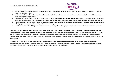

- 4. Improve the evidence base for **increasing the uptake of active and sustainable travel** choices across London, with a particular focus on links with health and education sectors.
- 5. Work collaboratively with a wide range of stakeholders to establish the evidence base for **reducing emissions of freight and servicing** journeys, whilst ensuring a thriving economy.
- 6. Working with London Council's existing EV coordination resource, **review current activity in promoting EVs** across London government and provide recommendations for enhancing this where appropriate. Ensure ongoing links between measures to facilitate EV take up and wider LCTP actions.
- 7. Undertake a review to understand options for **reducing emissions from construction and asset management in the highways and transport sector,**  including a gap analysis of existing activity and forums on this topic.
- 8. Undertake a review of the **skills gap** that relates to achieving the objectives of the programme, in coordination with Green Economy workstream.

The working group also discussed the merits of including action around 'avoid' interventions, notably land use planning levers that can help reduce the need for travel and enhance opportunities for trips to be made on active travel modes through approaches like the '15 min neighbourhood' etc. It was felt that, unlike many other areas of the country, the capital has a particularly strong heritage of integration between land use planning and transport and opportunities for the LCTP to add value in this space may be limited. It was agreed to keep this under review with a view to exploring further in phase 2 of the programme.

A separate action around exploring in more detail the potential impacts of decarbonisation measures on those population groups with protected characteristics, and in respect to a socio-economic lens, has also been added. The action plan below sets out in more detail how these objectives will be progressed across phase 1 (2022-23) of the programme and reviewed ahead of agreeing Phase 2.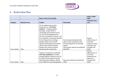

## **4. Draft Action Plan**

|               |                       | Phase 1 Short Term (22/23)                                                                                                                                                                                                                                                                                                                                                                                                                                                                               |                                                                                                                                                                  | Phase 2 2024-<br>2030                                                                                 |
|---------------|-----------------------|----------------------------------------------------------------------------------------------------------------------------------------------------------------------------------------------------------------------------------------------------------------------------------------------------------------------------------------------------------------------------------------------------------------------------------------------------------------------------------------------------------|------------------------------------------------------------------------------------------------------------------------------------------------------------------|-------------------------------------------------------------------------------------------------------|
| Category      | <b>Objective Area</b> | <b>Activity</b>                                                                                                                                                                                                                                                                                                                                                                                                                                                                                          | <b>Deliverable</b>                                                                                                                                               | <b>Indicative focus</b><br>area                                                                       |
| Cross cutting | Data                  | Set up collaborative working<br>framework for a 'LCTP data<br>taskforce' - bringing together<br>boroughs, London office of<br>Technology and Innovation (LoTI),<br>TfL, GLA and Knowledge Partner.<br>Key focus of taskforce in Phase 1 will<br>be to establish a robust data baseline<br>for the Programme, including a<br>detailed review of the overall<br>objective (halving petrol and diesel<br>vehicle trips) and the interplay<br>between this and the required<br>decarbonisation trajectories. | First Scoping meeting held (Q1<br>2022), output specification and<br>forward programme of meetings<br>agreed.<br>Data baseline agreed and published<br>(Q4 2022) | Review<br>effectiveness of<br>LCTP data<br>taskforce output<br>and agree new<br>workplan (Q1<br>2024) |
| Cross cutting | Data                  | Taskforce to develop an updatable<br>LCTP data dashboard for London,<br>bringing together indicators that can<br>be used to track progress towards<br>decarbonisation pathways, ideally<br>across different London geographies                                                                                                                                                                                                                                                                           | Beta data dashboard released (Q3<br>2022)                                                                                                                        | Review<br>effectiveness of<br>LCTP data<br>dashboard and<br>agree new<br>workplan (Q1<br>2024)        |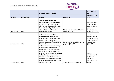

|               |                       | Phase 1 Short Term (22/23)                                                                                                                                                                                                                                                                                                                                                  |                                                           | Phase 2 2024-<br>2030                                                                                   |
|---------------|-----------------------|-----------------------------------------------------------------------------------------------------------------------------------------------------------------------------------------------------------------------------------------------------------------------------------------------------------------------------------------------------------------------------|-----------------------------------------------------------|---------------------------------------------------------------------------------------------------------|
| Category      | <b>Objective Area</b> | <b>Activity</b>                                                                                                                                                                                                                                                                                                                                                             | <b>Deliverable</b>                                        | <b>Indicative focus</b>                                                                                 |
|               |                       |                                                                                                                                                                                                                                                                                                                                                                             |                                                           | area                                                                                                    |
| Cross cutting | Data                  | Taskforce to develop model<br>decarbonisation pathways across<br>central/inner and outer London<br>which set out the potential relative<br>balance that avoid/shift/improve<br>interventions will take in the<br>different geographies.                                                                                                                                     | <b>Model Decarbonisation Pathways</b><br>agreed (Q1 2023) | Review progress<br>against model<br>decarbonisation<br>pathways.<br>Publish update<br>report. (Q1 2024) |
| Cross cutting | Data                  | Taskforce to develop a horizon<br>scanning capability to forecast<br>potential impact on decarbonisation<br>pathways from any emerging<br>changes to transport (using a PESTLE<br>framework)                                                                                                                                                                                | First annual forecast briefing note<br>prepared (Q2 2022) | Review<br>effectiveness of<br>Horizon scanning<br>output and agree<br>new workplan<br>(Q1 2024)         |
| Cross cutting | Data                  | Taskforce to develop methodologies<br>for forecasting carbon-related<br>savings/emissions from different<br>interventions that boroughs could<br>progress and bring together into Low<br><b>Carbon Transport Programme</b><br>Toolkit. As part of this work to also<br>undertake a review of best practice<br>in communicating carbon impact of<br>choices to wider public. | Toolkit Developed (Q2 2023)                               | Review<br>effectiveness of<br>toolkit and<br>update as<br>appropriate (Q1<br>2024)                      |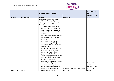

|               |                       | Phase 1 Short Term (22/23)                                                                                                                                                                                                                                                                                                                                                                                                                                                                                                                                                                                                                                                                                                                                                                                                                                                                             |                                   | Phase 2 2024-<br>2030                                                    |
|---------------|-----------------------|--------------------------------------------------------------------------------------------------------------------------------------------------------------------------------------------------------------------------------------------------------------------------------------------------------------------------------------------------------------------------------------------------------------------------------------------------------------------------------------------------------------------------------------------------------------------------------------------------------------------------------------------------------------------------------------------------------------------------------------------------------------------------------------------------------------------------------------------------------------------------------------------------------|-----------------------------------|--------------------------------------------------------------------------|
| Category      | <b>Objective Area</b> | <b>Activity</b>                                                                                                                                                                                                                                                                                                                                                                                                                                                                                                                                                                                                                                                                                                                                                                                                                                                                                        | <b>Deliverable</b>                | <b>Indicative focus</b><br>area                                          |
|               |                       | Coordinate with LC, TEC, LEDNET,<br>and GLA family to develop an<br>advocacy and lobbying plan with a<br>focus on:<br>achieving longer term certainty<br>of funding for London transport<br>(focus on need for sustainable<br>settlement for work on healthy<br>streets),<br>providing appropriate powers for<br>LAs to deliver change at pace<br>required;<br>progressing suitable national<br>complementary policies (e.g.<br>support for EVs, replacement for<br>fuel duty) and;<br>introducing a coordinated public<br>communication programme to<br>support aspirations of the<br>programme (in short term focus<br>on encouraging a return to public<br>transport, support for need to<br>change travel behaviour)<br>Specifically explore opportunities<br>to diversify funding streams<br>available for delivery, including<br>via private sector actors and by<br>harnessing opportunities to | Advocacy and lobbying plan agreed | Review Advocacy<br>plan and agree<br>new focus areas<br>for activity (Q1 |
| Cross cutting | Advocacy              | exploit patient capital.                                                                                                                                                                                                                                                                                                                                                                                                                                                                                                                                                                                                                                                                                                                                                                                                                                                                               | (Q1 2022)                         | 2024)                                                                    |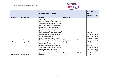

|               |                       | Phase 1 Short Term (22/23)                                                                                                                                                                                                                                                                                                                                                                                                                       |                               | Phase 2 2024-<br>2030                                                                       |
|---------------|-----------------------|--------------------------------------------------------------------------------------------------------------------------------------------------------------------------------------------------------------------------------------------------------------------------------------------------------------------------------------------------------------------------------------------------------------------------------------------------|-------------------------------|---------------------------------------------------------------------------------------------|
| Category      | <b>Objective Area</b> | <b>Activity</b>                                                                                                                                                                                                                                                                                                                                                                                                                                  | <b>Deliverable</b>            | <b>Indicative focus</b><br>area                                                             |
|               | Parking and demand    | Work collaboratively with<br>Knowledge Partner, TfL and London<br>Technical Advisory Group to develop<br>a discussion paper around demand<br>management in the capital, to<br>include the role that fiscal signals<br>(e.g., road pricing, workplace parking<br>levy) and further policy tools such as<br>local clean air/zero emission zones<br>might play in delivering<br>decarbonisation pathways and the<br>function boroughs could have in | Discussion paper complete (Q4 | Review<br>recommendations<br>and activity in this<br>space and publish<br>update report (Q1 |
| Shift/Improve | management            | implementing such measures<br>Work collaboratively with                                                                                                                                                                                                                                                                                                                                                                                          | 2022)                         | 2024)                                                                                       |
|               | Parking and demand    | Knowledge Partner, TfL and London<br>Technical Advisory Group to develop<br>a discussion paper specifically<br>around the role that parking policy<br>plays in delivering decarbonisation                                                                                                                                                                                                                                                        | Discussion paper complete (Q4 | Review<br>recommendations<br>and activity in this<br>space and publish<br>update report (Q1 |
| Shift/Improve | management            | pathways                                                                                                                                                                                                                                                                                                                                                                                                                                         | 2022)                         | 2024)                                                                                       |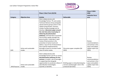

|               |                        | Phase 1 Short Term (22/23)                |                                                                            | Phase 2 2024-<br>2030   |
|---------------|------------------------|-------------------------------------------|----------------------------------------------------------------------------|-------------------------|
|               |                        |                                           |                                                                            | <b>Indicative focus</b> |
| Category      | <b>Objective Area</b>  | <b>Activity</b>                           | <b>Deliverable</b>                                                         | area                    |
|               |                        | Work collaboratively with                 |                                                                            |                         |
|               |                        | Knowledge Partner, TfL and London         |                                                                            |                         |
|               |                        | <b>Technical Advisory Group alongside</b> |                                                                            |                         |
|               |                        | special interest groups active in the     |                                                                            |                         |
|               |                        | capital (Living Streets, Sustrans,        |                                                                            |                         |
|               |                        | London Cycling Campaign etc) to           |                                                                            |                         |
|               |                        | develop a discussion paper around         |                                                                            |                         |
|               |                        | the role that active travel plays in      |                                                                            |                         |
|               |                        | delivering decarbonisation                |                                                                            |                         |
|               |                        | pathways, and how best to promote         |                                                                            |                         |
|               |                        | and increase uptake amongst the           |                                                                            |                         |
|               |                        | general public. Undertake a rapid         |                                                                            |                         |
|               |                        | review of best practice in the            |                                                                            | Review                  |
|               |                        | promotion of active travel and            |                                                                            | recommendations         |
|               |                        | define a 'top 10' list of interventions   |                                                                            | and activity in this    |
|               |                        | that could be implemented by              |                                                                            | space and publish       |
|               | Active and sustainable | boroughs at pace to increase modal        | Discussion paper complete (Q4                                              | update report (Q1       |
| Shift         | modes                  | share of active modes.                    | 2022)                                                                      | 2025)                   |
|               |                        |                                           |                                                                            |                         |
|               |                        | Work collaboratively with                 |                                                                            |                         |
|               |                        | Knowledge Partner and TfL to review       |                                                                            |                         |
|               |                        | decarbonisation pathways for bus          |                                                                            | Review                  |
|               |                        | services in London, role of boroughs      |                                                                            | recommendations         |
|               |                        | in supporting that alongside              |                                                                            | and activity in this    |
|               | Active and sustainable | opportunities to accelerate rollout of    | Briefing paper on decarbonising bus<br>services and borough's role in this | space and publish       |
|               |                        | electrification technologies.             |                                                                            | update report (Q1       |
| Shift/Improve | modes                  | Quantify co-benefits.                     | produced (Q4 2022)                                                         | 2024)                   |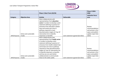

|               |                                 | Phase 1 Short Term (22/23)                                                                                                                                                                                                                                                                                          |                                  | Phase 2 2024-<br>2030                                                                                |
|---------------|---------------------------------|---------------------------------------------------------------------------------------------------------------------------------------------------------------------------------------------------------------------------------------------------------------------------------------------------------------------|----------------------------------|------------------------------------------------------------------------------------------------------|
| Category      | <b>Objective Area</b>           | <b>Activity</b>                                                                                                                                                                                                                                                                                                     | <b>Deliverable</b>               | <b>Indicative focus</b><br>area                                                                      |
|               | Active and sustainable          | Work collaboratively with<br>representatives from education<br>sector in London to develop a joint<br>statement defining i) quantum of<br>emissions from education related<br>trips and trends over time ii)<br>pathway required to meet<br>decarbonisation targets iii) 'top 10'<br>intervention list iv) identify |                                  | Review<br>recommendations<br>and activity in this<br>space and publish<br>update report (Q1          |
| Shift/Improve | modes                           | important co-benefits.                                                                                                                                                                                                                                                                                              | Joint statement agreed (Q3 2022) | 2024)                                                                                                |
|               |                                 | Work collaboratively with<br>representatives from health sector<br>in London to develop a joint<br>statement defining i) quantum of<br>emissions from health-related trips<br>and trends over time ii) pathway                                                                                                      |                                  |                                                                                                      |
| Shift/Improve | Active and sustainable<br>modes | required to meet decarbonisation<br>targets iii) 'top 10' intervention list<br>iv) identify important co-benefits<br>and how we can work better<br>collaboratively to communicate<br>these to the wider public.                                                                                                     | Joint statement agreed (Q3 2022) | Review<br>recommendations<br>and activity in this<br>space and publish<br>update report (Q1<br>2024) |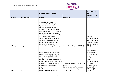

|               |                       | Phase 1 Short Term (22/23)                                                                                                                                                                                                                                                                                                                                                                                                                                                                                            |                                                                                                                                   | Phase 2 2024-<br>2030                                                                                                                                                                       |
|---------------|-----------------------|-----------------------------------------------------------------------------------------------------------------------------------------------------------------------------------------------------------------------------------------------------------------------------------------------------------------------------------------------------------------------------------------------------------------------------------------------------------------------------------------------------------------------|-----------------------------------------------------------------------------------------------------------------------------------|---------------------------------------------------------------------------------------------------------------------------------------------------------------------------------------------|
| Category      | <b>Objective Area</b> | <b>Activity</b>                                                                                                                                                                                                                                                                                                                                                                                                                                                                                                       | <b>Deliverable</b>                                                                                                                | <b>Indicative focus</b><br>area                                                                                                                                                             |
| Shift/Improve | Freight               | Work collaboratively with<br>representatives from freight and<br>logistics sector in London to develop<br>a joint statement defining i)<br>quantum of emissions from freight<br>and logistics related trips and trends<br>over time ii) pathway required to<br>meet decarbonisation targets iii) 'top<br>10' intervention list across<br>avoid/shift/improve iv) important<br>co-benefits. Agree a 'concorda<br>t' setting out how industry and<br>London government can work<br>collaboratively to support delivery. | Joint statement agreed (Q4 2022)                                                                                                  | Review<br>recommendations<br>and activity in this<br>space and publish<br>update report (Q1<br>2024)                                                                                        |
| Improve       | EV's                  | Undertake a stakeholder mapping<br>exercise to understand i) current<br>activity in the facilitation of EV<br>charging infrastructure across<br>London ii) borough commitments to<br>fleet electrification and identification<br>how work could be supported iii)<br>future committed resource to this<br>area.<br>Develop recommendations for<br>effective future collaboration                                                                                                                                      | Stakeholder mapping complete (Q1<br>2022)<br>Recommendations for next step<br>coordination framework provided to<br>TEC (Q2 2022) | Review current<br>activity in this<br>area and provide<br>report on<br>effectiveness,<br>with<br>recommendations<br>on future<br>requirements for<br>collaboration<br>2025-30. (Q1<br>2024) |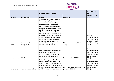

|               |                           | Phase 1 Short Term (22/23)                                                                                                                                                                                                                                                                                                                                                                                                                                                                                       |                                                            | Phase 2 2024-<br>2030                                                                                |
|---------------|---------------------------|------------------------------------------------------------------------------------------------------------------------------------------------------------------------------------------------------------------------------------------------------------------------------------------------------------------------------------------------------------------------------------------------------------------------------------------------------------------------------------------------------------------|------------------------------------------------------------|------------------------------------------------------------------------------------------------------|
| Category      | <b>Objective Area</b>     | <b>Activity</b>                                                                                                                                                                                                                                                                                                                                                                                                                                                                                                  | <b>Deliverable</b>                                         | <b>Indicative focus</b><br>area                                                                      |
|               | Construction & asset      | Work collaboratively with TfL and<br>LoTAG Highway Asset Forum to<br>review current understanding<br>around emissions arising from<br>construction of transport schemes<br>and maintenance of highway asset.<br>Develop a 'top 10' set of actions<br>which can be implemented by<br>boroughs to reduce emissions from<br>these activities. Include a discussion<br>on the role changing techniques and<br>emerging technologies may play in<br>reducing emissions. Identify any<br>opportunities for longer term | Discussion paper complete (Q4                              | Review<br>recommendations<br>and activity in this<br>space and publish<br>update report (Q1          |
| Avoid         | management                | coordination in this space.                                                                                                                                                                                                                                                                                                                                                                                                                                                                                      | 2022)                                                      | 2025)                                                                                                |
| Cross-cutting | Skills Gap                | Undertake a review of the skills gap<br>that relates to achieving the<br>objectives of the programme, in<br>coordination with Green Economy<br>workstream.                                                                                                                                                                                                                                                                                                                                                       | Review complete Q4 2022.                                   | Review<br>recommendations<br>and activity in this<br>space and publish<br>update report (Q1<br>2025) |
| Crosscutting  | Equalities considerations | Undertake a high-level Equalities<br>Impact Scoping exercise on LCTP to<br>ensure widespread understanding of<br>potential impacts of interventions on<br>those with protected characteristics<br>and through a socio-economic lens.                                                                                                                                                                                                                                                                             | Draft Equalities Impact Scoping Note<br>produced (Q4 2022) | Review<br>recommendations<br>and activity in this<br>space and publish<br>update report (Q1<br>2024) |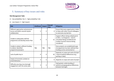

## 5. Summary of key issues and risks

#### **Risk Management Table**

(1 – low probability/ risk, 5 – high probability/ risk)

#### (1- Low impact, 5 – high impact)

| <b>Risk</b>                                                                              | <b>Likelihood</b> | <b>Impact</b> | <b>Overall</b><br><b>Risk</b> | <b>Mitigation</b>                                                                                                                                           |
|------------------------------------------------------------------------------------------|-------------------|---------------|-------------------------------|-------------------------------------------------------------------------------------------------------------------------------------------------------------|
| Different approaches and processes<br>across and within councils stymie<br>collaboration | $\overline{2}$    | 2             | 4                             | Ensure that every opportunity is taken<br>to liaise with other Council colleagues<br>to overcome any barriers                                               |
| Unable to adequately staff the<br>programme and develop Action Plan                      | 4                 | 3             | 12                            | Support officers being redeployed (1<br>at WCC, 1 at Kingston) - interim<br>consultant being considered and<br>London Councils resource being<br>considered |
| Unable to obtain sufficient funding<br>to deliver identified<br>programmes/projects      | <b>TBA</b>        | <b>TBA</b>    | <b>TBA</b>                    | Once projects are established/scope<br>of programme has been defined then<br>funding can be commented on                                                    |
| Lack of public buy in                                                                    | 4                 | 4             | 16                            | Depends on scope and scale of project<br>/ level of political differences (e.g.<br>parking vs data)                                                         |
| Impact of economic context on<br>travel behaviour                                        | 3                 | 3             | 9                             | Depends on scope and scale of project                                                                                                                       |
| Difficulty securing cross-borough<br>engagement with the action plan                     | 3                 | 3             | 9                             | Seek greater understanding of<br>political and geographical differences<br>between boroughs                                                                 |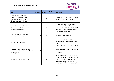

| <b>Risk</b>                                                                                                                  | Likelihood | Impact         | <b>Overall</b><br><b>Risk</b> | <b>Mitigation</b>                                                                                                                                                                      |
|------------------------------------------------------------------------------------------------------------------------------|------------|----------------|-------------------------------|----------------------------------------------------------------------------------------------------------------------------------------------------------------------------------------|
| Unable to secure effective<br>collaboration across different<br>climate programmes with shared<br>objectives/co-dependencies | 3          | 3              | 9                             | Greater promotion and understanding<br>of needs and overarching goals                                                                                                                  |
| Unable to achieve national policy<br>asks e.g. slower than expected<br>technological progress                                | 2          | 3              | 6                             | Public sector services and fleets are<br>rapidly moving towards becoming<br>zero carbon - concerns about private<br>individuals being able to match this.<br>Lobby Government/TfL      |
| Unable to persuade strategic<br>partners to collaborate                                                                      | 1          | 2              | 2                             | Education/incentivisation                                                                                                                                                              |
| Equalities considerations                                                                                                    | 2          | 2              | $\overline{2}$                | Need for Councils to better<br>understand the challenges faced by<br>certain<br>communities/groups/neighbourhoods                                                                      |
| Unable to monitor progress against<br>the objectives throughout the life of<br>the Programme                                 | 3          | $\overline{2}$ | 6                             | Develop case for further resource for<br>programme management and<br>reporting                                                                                                         |
| Willingness to push difficult policies                                                                                       | 3          | 3              | $\mathsf{q}$                  | Work collaboratively across a wide<br>range of stakeholders with different<br>contexts to ensure awareness of the<br>problem and opportunities for<br>consensus building are maximised |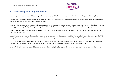

## **6. Monitoring, reporting and review**

Monitoring, reporting and review of the action plan is the responsibility of the Lead Boroughs, to be undertaken by the Programme Working Group.

Ahead of each programme working group meeting the agreed action plan will be assessed against delivery timeline, with each action RAG rated in respect to whether they are on track, completed or behind schedule.

For actions that are rated as red and being behind schedule the Working Group will discuss mitigation options and seek to implement them before the next working group meeting. If mitigation required is significant this may be further escalated for discussion at the Steering Group as appropriate.

The LCTP will provide a six-monthly report on progress to TEC, and as required in advance of this to the Cross Directors Climate Coordination Group and CELC Environment Group.

It is anticipated that this report will also be listed as an item at least annually for discussion at the LEDNet Transport & Air quality Cluster group and LoTAG Strategic Transport Forum. This will ensure continued visibility of the programme across the widest selection of stakeholders.

Phase 1 action plan will be reviewed in Q2/Q3 2023. This review will be used to develop the detail of the Phase 2 action plan, for further consideration by Steering Group, Reference Group ahead of presentation to the Cross Directors Climate Coordination Group and ultimately TEC.

As part of this review, consideration will be given to the role of the existing lead boroughs and whether they continue in that function into phase 2 of the programme.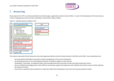

## **7. Resourcing**

Resourcing for the LCTP is currently provided by the lead boroughs, supported by London Councils officers. As part of the development of the action plan, a resource mapping exercise has also been undertaken, summarised in Figure 4 below.

*Figure 4 – Indicative Resource Map for LCTP*



The resource map needs further discussion across steering group members and with London Councils in Q4 2021 and Q1 2022. Key considerations are:

- Securing sufficient dedicated resourcing for project managing the LCTP over the coming years
- Securing high level buy in from steering group members to facilitate sufficient in-kind resource
- Developing a 'Task Leader' arrangement where other boroughs beyond the two leads can take ownership of particular actions
- Secure an effective knowledge partner with sufficient resourcing to support the programme with analytical and research resource which underpins the majority of actions
- Have access to specialist external expertise as required to help inform development and ensure the necessary quality of output.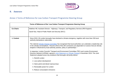

## **8. Annexes**

## Annex 1 Terms of Reference for Low Carbon Transport Programme Steering Group

|                  | Terms of Reference of the 'Low Carbon Transport Programme Steering Group                                                                                                                                                                                                                                                 |
|------------------|--------------------------------------------------------------------------------------------------------------------------------------------------------------------------------------------------------------------------------------------------------------------------------------------------------------------------|
| <b>Co-Chairs</b> | Matthew Hill, Assistant Director - Highways, Transport, and Regulatory Services (RB Kingston)                                                                                                                                                                                                                            |
|                  | Sarah Rye, Head of Public Realm and Security (WCC)                                                                                                                                                                                                                                                                       |
|                  |                                                                                                                                                                                                                                                                                                                          |
| 1. Context       | Since 2019, 28 London boroughs have declared a climate emergency, together with more than 230 local<br>authority declarations nationwide.                                                                                                                                                                                |
|                  | The national Climate Change Committee has recognised that local authorities can undertake a leadership role<br>in the climate conversations. 'Around a third of the UK's emissions are dependent on sectors that are directly<br>shaped or influenced by local authority practice, policy or partnerships. <sup>11</sup> |
|                  | In response, London Councils' Transport and Environment Committee (TEC) and London Environment<br>Directors Network (LEDNet), agreed a Joint Statement on Climate Change in November 2019. This Joint<br>Statement adopted seven key ambitions that boroughs will jointly deliver:                                       |
|                  | 1. Retrofit London                                                                                                                                                                                                                                                                                                       |
|                  | 2. Low-carbon development                                                                                                                                                                                                                                                                                                |
|                  | 3. Halve petrol and diesel road journeys                                                                                                                                                                                                                                                                                 |
|                  | 4. Renewable power for London                                                                                                                                                                                                                                                                                            |
|                  | 5. Reduce consumption emissions                                                                                                                                                                                                                                                                                          |
|                  |                                                                                                                                                                                                                                                                                                                          |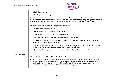

|                     | 6. Build the green economy                                                                                                                                                                                                                                                                                                                                                                 |
|---------------------|--------------------------------------------------------------------------------------------------------------------------------------------------------------------------------------------------------------------------------------------------------------------------------------------------------------------------------------------------------------------------------------------|
|                     | 7. Creating a resilient and green London                                                                                                                                                                                                                                                                                                                                                   |
|                     | Then, the Low Carbon Transport programme has been established to deliver the ambition to 'halve road<br>journeys made by petrol and diesel via combined measures that can restrict polluting journeys and incentivise<br>sustainable and active travel options'. Working across a Programme timescale from 2020 - 2030.                                                                    |
|                     | The objectives of the Low Carbon Transport ambition are to:                                                                                                                                                                                                                                                                                                                                |
|                     | • Improve cross borough working                                                                                                                                                                                                                                                                                                                                                            |
|                     | • Enable better delivery across borough boundaries                                                                                                                                                                                                                                                                                                                                         |
|                     | • Tie in different strands of activity to adopt delivery more widely                                                                                                                                                                                                                                                                                                                       |
|                     | • Provide leadership and a platform to share learning from each other                                                                                                                                                                                                                                                                                                                      |
|                     | • Establish and monitor data sets that are consistent and comparable across London, accounting for<br>inner and outer London mobility profiles                                                                                                                                                                                                                                             |
|                     | • Establish a framework which delivers decarbonisation, identifies co-benefits of action, whilst also being<br>mindful of the Public Sector Equality Duty and the need to tackle inequality                                                                                                                                                                                                |
|                     | • Create a platform to pool resource, reduce duplication of effort and support innovation                                                                                                                                                                                                                                                                                                  |
| 2. Responsibilities | The Group will be responsible for the following actions:                                                                                                                                                                                                                                                                                                                                   |
|                     | • Undertake research to show where London is presently on local transport carbon emissions (in particular<br>to illustrate contribution of EVs vs other travel behaviour changes etc). Demonstrate how LEDNET's<br>ambitions for halving petrol and diesel vehicle trips fits into climate emergency declarations and<br>decarbonisation targets adopted in different case study boroughs. |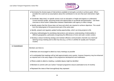

|               | • Summarise the diverse types of interventions available to boroughs currently to achieve goals. Where<br>possible this could set out assumptions about the contribution to net zero that each intervention might<br>play.                                                                                    |
|---------------|---------------------------------------------------------------------------------------------------------------------------------------------------------------------------------------------------------------------------------------------------------------------------------------------------------------|
|               | • Coordinate 'deep dives' on specific sectors such as education or freight and logistics to understand<br>current emission profile, upcoming trends and opportunities to accelerate decarbonisation. Use these<br>exercises to drive further collaboration between stakeholders with agency to effect change. |
|               | • Identify powers that this Group does not have and which are required to achieve objectives. This would<br>form the lobbying/ask of the government part of the action plan.                                                                                                                                  |
|               | • Identify, present and regularly update funding opportunities, which can bring projects to life.                                                                                                                                                                                                             |
|               | • Develop methodologies for prioritising interventions and advance understanding of deliverability in<br>different geographies, particularly recognising the differences of inner and outer London context.                                                                                                   |
|               | • Develop a robust monitoring strategy and maintain effective communication channels via a biannual<br>Steering Group meeting and to other key fora (e.g. LoTAG or LEDNet Air Quality and Transport<br>Cluster)                                                                                               |
| 3. Commitment | Members are there to:                                                                                                                                                                                                                                                                                         |
|               | • Members are encouraged to attend as many meetings as possible                                                                                                                                                                                                                                               |
|               | • It is anticipated that meetings will be held approximately every quarter, however frequency may be enhanced<br>as required and in the early stages of the programme development and mobilisation                                                                                                            |
|               | • Where unable to attend a meeting, a suitable deputy might be identified                                                                                                                                                                                                                                     |
|               | • Members to commit until Low Carbon Transport programme closure (estimated to be 24 months)                                                                                                                                                                                                                  |
|               | • Represent the views of their borough/body they represent                                                                                                                                                                                                                                                    |